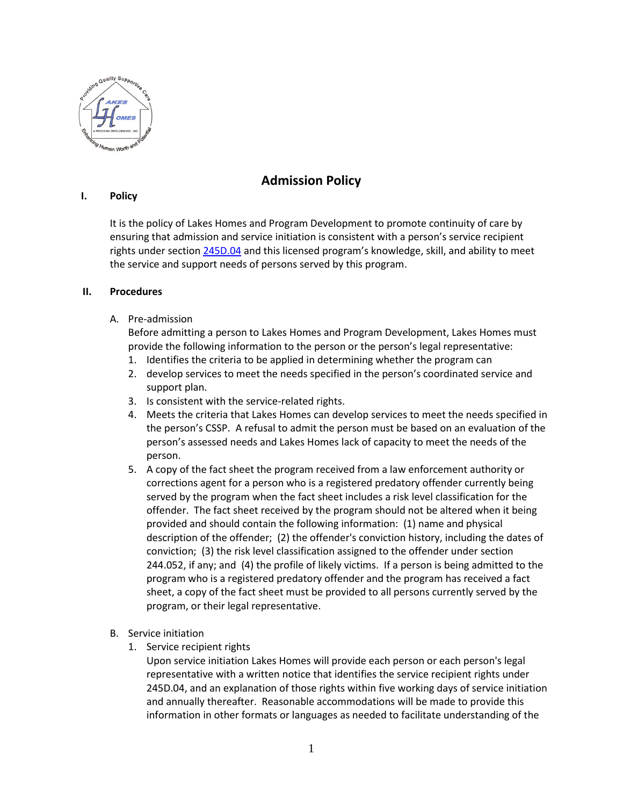

## **Admission Policy**

## **I. Policy**

It is the policy of Lakes Homes and Program Development to promote continuity of care by ensuring that admission and service initiation is consistent with a person's service recipient rights under sectio[n 245D.04](https://www.revisor.mn.gov/statutes/?id=245D.04) and this licensed program's knowledge, skill, and ability to meet the service and support needs of persons served by this program.

## **II. Procedures**

## A. Pre-admission

Before admitting a person to Lakes Homes and Program Development, Lakes Homes must provide the following information to the person or the person's legal representative:

- 1. Identifies the criteria to be applied in determining whether the program can
- 2. develop services to meet the needs specified in the person's coordinated service and support plan.
- 3. Is consistent with the service-related rights.
- 4. Meets the criteria that Lakes Homes can develop services to meet the needs specified in the person's CSSP. A refusal to admit the person must be based on an evaluation of the person's assessed needs and Lakes Homes lack of capacity to meet the needs of the person.
- 5. A copy of the fact sheet the program received from a law enforcement authority or corrections agent for a person who is a registered predatory offender currently being served by the program when the fact sheet includes a risk level classification for the offender. The fact sheet received by the program should not be altered when it being provided and should contain the following information: (1) name and physical description of the offender; (2) the offender's conviction history, including the dates of conviction; (3) the risk level classification assigned to the offender under section 244.052, if any; and (4) the profile of likely victims. If a person is being admitted to the program who is a registered predatory offender and the program has received a fact sheet, a copy of the fact sheet must be provided to all persons currently served by the program, or their legal representative.
- B. Service initiation
	- 1. Service recipient rights

Upon service initiation Lakes Homes will provide each person or each person's legal representative with a written notice that identifies the service recipient rights under 245D.04, and an explanation of those rights within five working days of service initiation and annually thereafter. Reasonable accommodations will be made to provide this information in other formats or languages as needed to facilitate understanding of the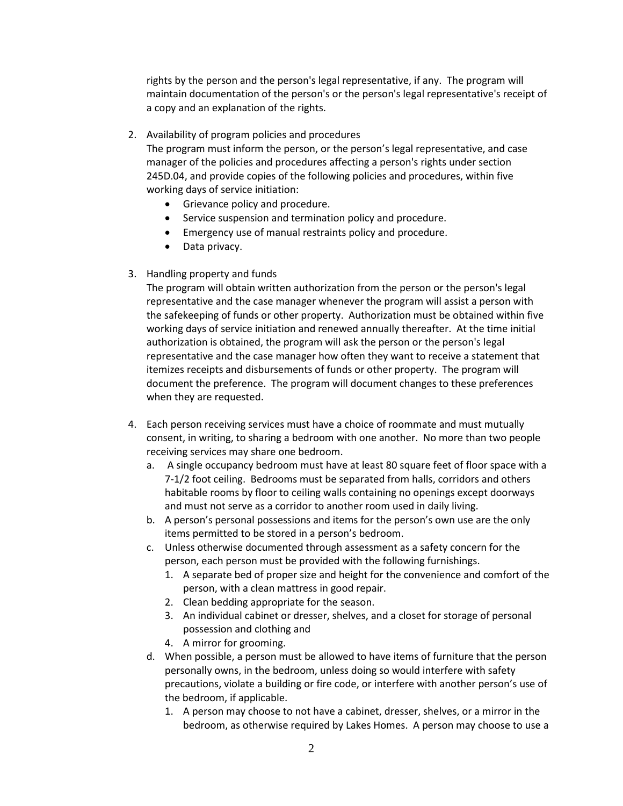rights by the person and the person's legal representative, if any. The program will maintain documentation of the person's or the person's legal representative's receipt of a copy and an explanation of the rights.

2. Availability of program policies and procedures

The program must inform the person, or the person's legal representative, and case manager of the policies and procedures affecting a person's rights under section 245D.04, and provide copies of the following policies and procedures, within five working days of service initiation:

- Grievance policy and procedure.
- Service suspension and termination policy and procedure.
- Emergency use of manual restraints policy and procedure.
- Data privacy.
- 3. Handling property and funds

The program will obtain written authorization from the person or the person's legal representative and the case manager whenever the program will assist a person with the safekeeping of funds or other property. Authorization must be obtained within five working days of service initiation and renewed annually thereafter. At the time initial authorization is obtained, the program will ask the person or the person's legal representative and the case manager how often they want to receive a statement that itemizes receipts and disbursements of funds or other property. The program will document the preference. The program will document changes to these preferences when they are requested.

- 4. Each person receiving services must have a choice of roommate and must mutually consent, in writing, to sharing a bedroom with one another. No more than two people receiving services may share one bedroom.
	- a. A single occupancy bedroom must have at least 80 square feet of floor space with a 7-1/2 foot ceiling. Bedrooms must be separated from halls, corridors and others habitable rooms by floor to ceiling walls containing no openings except doorways and must not serve as a corridor to another room used in daily living.
	- b. A person's personal possessions and items for the person's own use are the only items permitted to be stored in a person's bedroom.
	- c. Unless otherwise documented through assessment as a safety concern for the person, each person must be provided with the following furnishings.
		- 1. A separate bed of proper size and height for the convenience and comfort of the person, with a clean mattress in good repair.
		- 2. Clean bedding appropriate for the season.
		- 3. An individual cabinet or dresser, shelves, and a closet for storage of personal possession and clothing and
		- 4. A mirror for grooming.
	- d. When possible, a person must be allowed to have items of furniture that the person personally owns, in the bedroom, unless doing so would interfere with safety precautions, violate a building or fire code, or interfere with another person's use of the bedroom, if applicable.
		- 1. A person may choose to not have a cabinet, dresser, shelves, or a mirror in the bedroom, as otherwise required by Lakes Homes. A person may choose to use a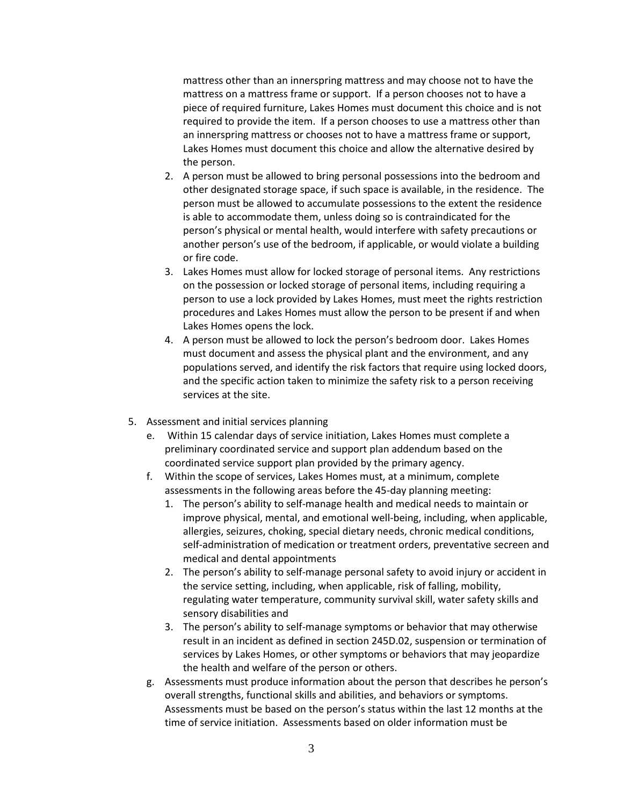mattress other than an innerspring mattress and may choose not to have the mattress on a mattress frame or support. If a person chooses not to have a piece of required furniture, Lakes Homes must document this choice and is not required to provide the item. If a person chooses to use a mattress other than an innerspring mattress or chooses not to have a mattress frame or support, Lakes Homes must document this choice and allow the alternative desired by the person.

- 2. A person must be allowed to bring personal possessions into the bedroom and other designated storage space, if such space is available, in the residence. The person must be allowed to accumulate possessions to the extent the residence is able to accommodate them, unless doing so is contraindicated for the person's physical or mental health, would interfere with safety precautions or another person's use of the bedroom, if applicable, or would violate a building or fire code.
- 3. Lakes Homes must allow for locked storage of personal items. Any restrictions on the possession or locked storage of personal items, including requiring a person to use a lock provided by Lakes Homes, must meet the rights restriction procedures and Lakes Homes must allow the person to be present if and when Lakes Homes opens the lock.
- 4. A person must be allowed to lock the person's bedroom door. Lakes Homes must document and assess the physical plant and the environment, and any populations served, and identify the risk factors that require using locked doors, and the specific action taken to minimize the safety risk to a person receiving services at the site.
- 5. Assessment and initial services planning
	- e. Within 15 calendar days of service initiation, Lakes Homes must complete a preliminary coordinated service and support plan addendum based on the coordinated service support plan provided by the primary agency.
	- f. Within the scope of services, Lakes Homes must, at a minimum, complete assessments in the following areas before the 45-day planning meeting:
		- 1. The person's ability to self-manage health and medical needs to maintain or improve physical, mental, and emotional well-being, including, when applicable, allergies, seizures, choking, special dietary needs, chronic medical conditions, self-administration of medication or treatment orders, preventative secreen and medical and dental appointments
		- 2. The person's ability to self-manage personal safety to avoid injury or accident in the service setting, including, when applicable, risk of falling, mobility, regulating water temperature, community survival skill, water safety skills and sensory disabilities and
		- 3. The person's ability to self-manage symptoms or behavior that may otherwise result in an incident as defined in section 245D.02, suspension or termination of services by Lakes Homes, or other symptoms or behaviors that may jeopardize the health and welfare of the person or others.
	- g. Assessments must produce information about the person that describes he person's overall strengths, functional skills and abilities, and behaviors or symptoms. Assessments must be based on the person's status within the last 12 months at the time of service initiation. Assessments based on older information must be